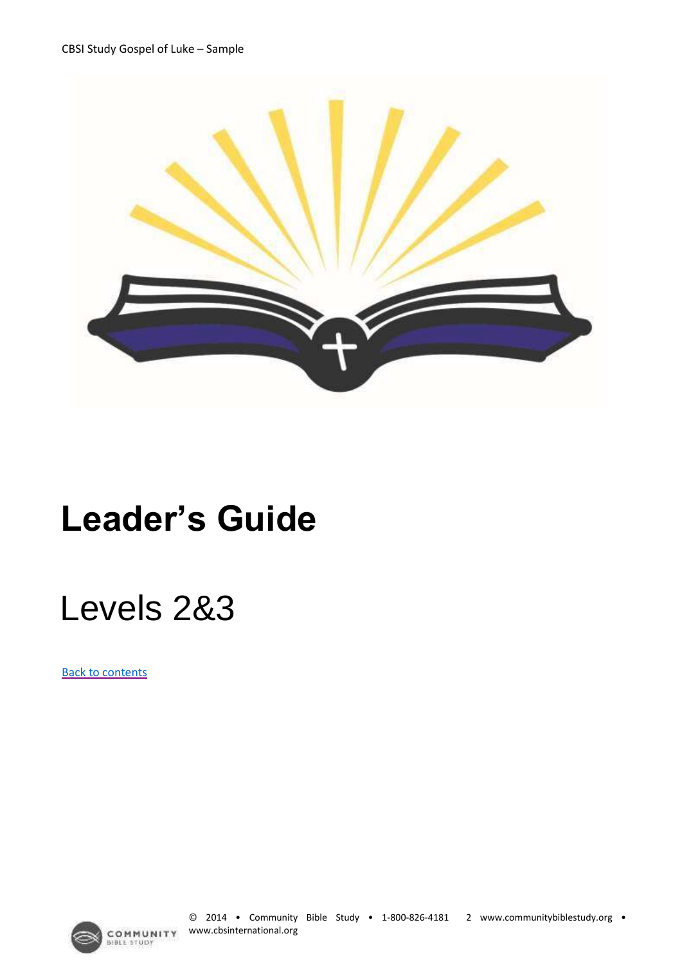

## **Leader's Guide**

## Levels 2&3

[Back to contents](#page--1-0)

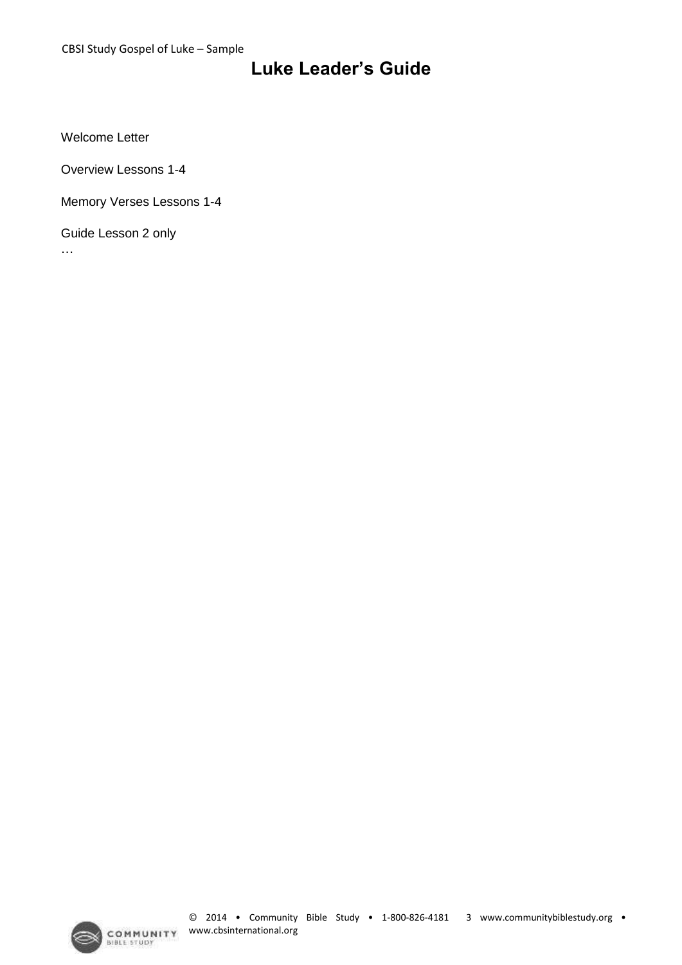#### **Luke Leader's Guide**

Welcome Letter

Overview Lessons 1-4

Memory Verses Lessons 1-4

Guide Lesson 2 only

…

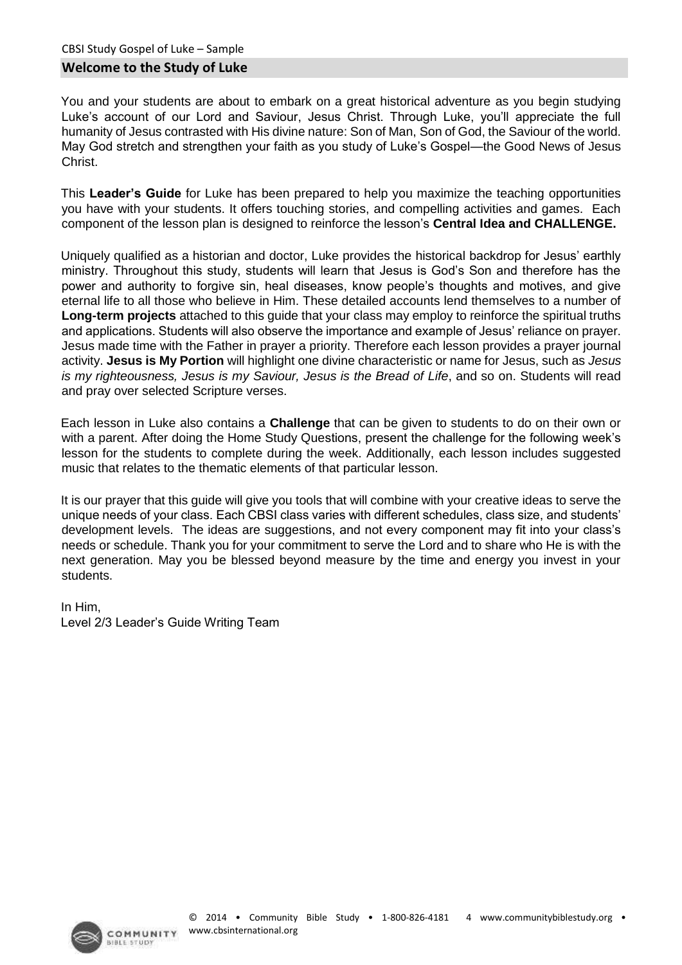#### You and your students are about to embark on a great historical adventure as you begin studying Luke's account of our Lord and Saviour, Jesus Christ. Through Luke, you'll appreciate the full humanity of Jesus contrasted with His divine nature: Son of Man, Son of God, the Saviour of the world. May God stretch and strengthen your faith as you study of Luke's Gospel—the Good News of Jesus Christ.

This **Leader's Guide** for Luke has been prepared to help you maximize the teaching opportunities you have with your students. It offers touching stories, and compelling activities and games. Each component of the lesson plan is designed to reinforce the lesson's **Central Idea and CHALLENGE.** 

Uniquely qualified as a historian and doctor, Luke provides the historical backdrop for Jesus' earthly ministry. Throughout this study, students will learn that Jesus is God's Son and therefore has the power and authority to forgive sin, heal diseases, know people's thoughts and motives, and give eternal life to all those who believe in Him. These detailed accounts lend themselves to a number of **Long-term projects** attached to this guide that your class may employ to reinforce the spiritual truths and applications. Students will also observe the importance and example of Jesus' reliance on prayer. Jesus made time with the Father in prayer a priority. Therefore each lesson provides a prayer journal activity. **Jesus is My Portion** will highlight one divine characteristic or name for Jesus, such as *Jesus is my righteousness, Jesus is my Saviour, Jesus is the Bread of Life, and so on. Students will read* and pray over selected Scripture verses.

Each lesson in Luke also contains a **Challenge** that can be given to students to do on their own or with a parent. After doing the Home Study Questions, present the challenge for the following week's lesson for the students to complete during the week. Additionally, each lesson includes suggested music that relates to the thematic elements of that particular lesson.

It is our prayer that this guide will give you tools that will combine with your creative ideas to serve the unique needs of your class. Each CBSI class varies with different schedules, class size, and students' development levels. The ideas are suggestions, and not every component may fit into your class's needs or schedule. Thank you for your commitment to serve the Lord and to share who He is with the next generation. May you be blessed beyond measure by the time and energy you invest in your students.

In Him, Level 2/3 Leader's Guide Writing Team

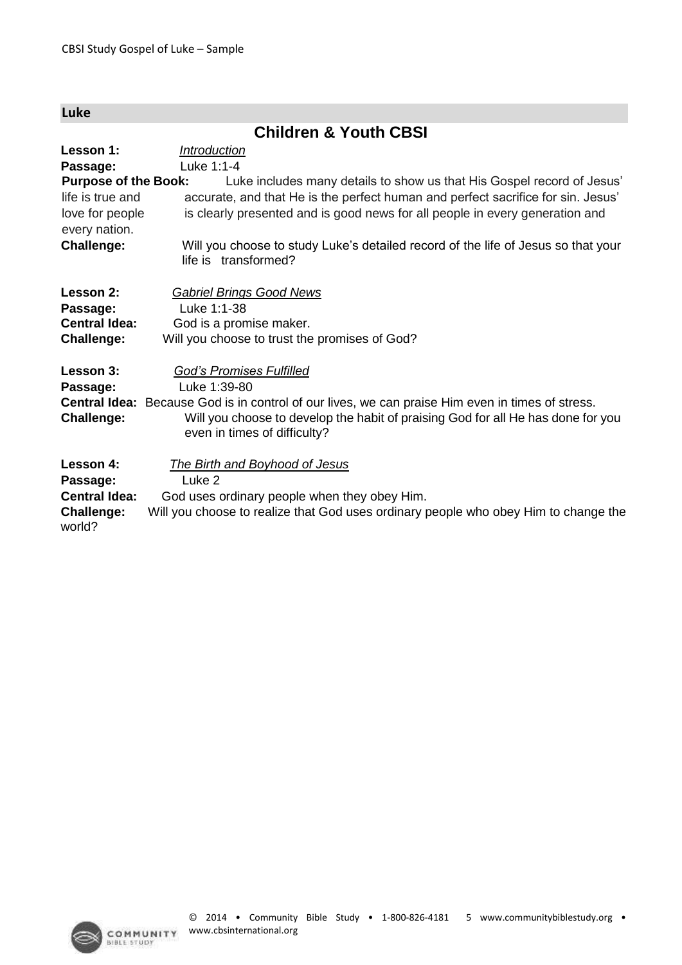| Luke                                                                                |                                                                                                                                                                                                                                                                                |  |  |
|-------------------------------------------------------------------------------------|--------------------------------------------------------------------------------------------------------------------------------------------------------------------------------------------------------------------------------------------------------------------------------|--|--|
| <b>Children &amp; Youth CBSI</b>                                                    |                                                                                                                                                                                                                                                                                |  |  |
| Lesson 1:<br>Passage:                                                               | <i><u><b>Introduction</b></u></i><br>Luke 1:1-4                                                                                                                                                                                                                                |  |  |
| <b>Purpose of the Book:</b><br>life is true and<br>love for people<br>every nation. | Luke includes many details to show us that His Gospel record of Jesus'<br>accurate, and that He is the perfect human and perfect sacrifice for sin. Jesus'<br>is clearly presented and is good news for all people in every generation and                                     |  |  |
| <b>Challenge:</b>                                                                   | Will you choose to study Luke's detailed record of the life of Jesus so that your<br>life is transformed?                                                                                                                                                                      |  |  |
| Lesson 2:<br>Passage:<br><b>Central Idea:</b><br><b>Challenge:</b>                  | <b>Gabriel Brings Good News</b><br>Luke 1:1-38<br>God is a promise maker.<br>Will you choose to trust the promises of God?                                                                                                                                                     |  |  |
| Lesson 3:<br>Passage:<br><b>Challenge:</b>                                          | <b>God's Promises Fulfilled</b><br>Luke 1:39-80<br><b>Central Idea:</b> Because God is in control of our lives, we can praise Him even in times of stress.<br>Will you choose to develop the habit of praising God for all He has done for you<br>even in times of difficulty? |  |  |
| Lesson 4:<br>Passage:<br><b>Central Idea:</b><br><b>Challenge:</b><br>world?        | The Birth and Boyhood of Jesus<br>Luke <sub>2</sub><br>God uses ordinary people when they obey Him.<br>Will you choose to realize that God uses ordinary people who obey Him to change the                                                                                     |  |  |

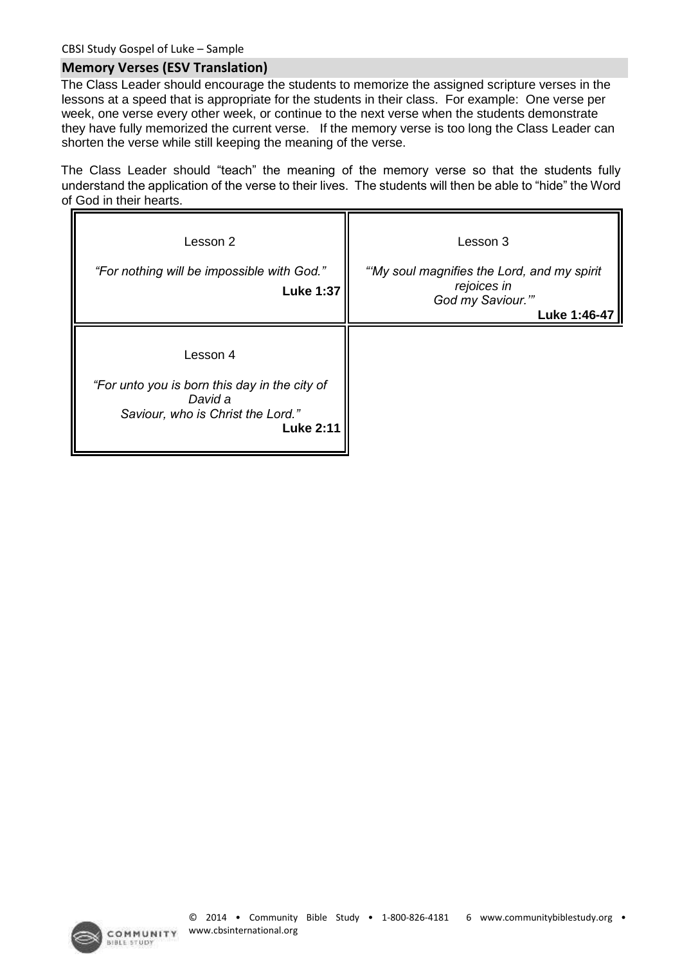#### **Memory Verses (ESV Translation)**

The Class Leader should encourage the students to memorize the assigned scripture verses in the lessons at a speed that is appropriate for the students in their class. For example: One verse per week, one verse every other week, or continue to the next verse when the students demonstrate they have fully memorized the current verse. If the memory verse is too long the Class Leader can shorten the verse while still keeping the meaning of the verse.

The Class Leader should "teach" the meaning of the memory verse so that the students fully understand the application of the verse to their lives. The students will then be able to "hide" the Word of God in their hearts.

| Lesson 2<br>"For nothing will be impossible with God."<br><b>Luke 1:37</b>                                                    | Lesson 3<br>"My soul magnifies the Lord, and my spirit<br>rejoices in<br>God my Saviour.""<br>Luke 1:46-47 |
|-------------------------------------------------------------------------------------------------------------------------------|------------------------------------------------------------------------------------------------------------|
| Lesson 4<br>"For unto you is born this day in the city of<br>David a<br>Saviour, who is Christ the Lord."<br><b>Luke 2:11</b> |                                                                                                            |



**BIBLE STUDY**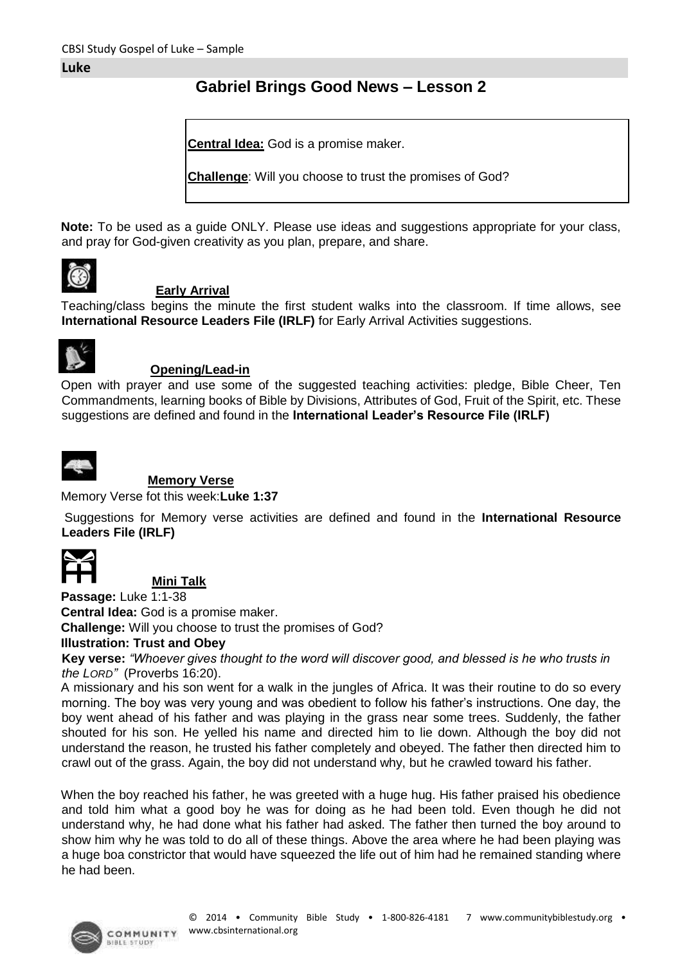#### **Gabriel Brings Good News – Lesson 2**

**Central Idea:** God is a promise maker.

**Challenge**: Will you choose to trust the promises of God?

**Note:** To be used as a guide ONLY. Please use ideas and suggestions appropriate for your class, and pray for God-given creativity as you plan, prepare, and share.



#### **Early Arrival**

Teaching/class begins the minute the first student walks into the classroom. If time allows, see **International Resource Leaders File (IRLF)** for Early Arrival Activities suggestions.



#### **Opening/Lead-in**

Open with prayer and use some of the suggested teaching activities: pledge, Bible Cheer, Ten Commandments, learning books of Bible by Divisions, Attributes of God, Fruit of the Spirit, etc. These suggestions are defined and found in the **International Leader's Resource File (IRLF)** 



#### **Memory Verse**

Memory Verse fot this week:**Luke 1:37** 

Suggestions for Memory verse activities are defined and found in the **International Resource Leaders File (IRLF)**



#### **Mini Talk**

**Passage:** Luke 1:1-38 **Central Idea:** God is a promise maker.

**Challenge:** Will you choose to trust the promises of God?

**Illustration: Trust and Obey** 

**Key verse:** *"Whoever gives thought to the word will discover good, and blessed is he who trusts in the LORD"* (Proverbs 16:20).

A missionary and his son went for a walk in the jungles of Africa. It was their routine to do so every morning. The boy was very young and was obedient to follow his father's instructions. One day, the boy went ahead of his father and was playing in the grass near some trees. Suddenly, the father shouted for his son. He yelled his name and directed him to lie down. Although the boy did not understand the reason, he trusted his father completely and obeyed. The father then directed him to crawl out of the grass. Again, the boy did not understand why, but he crawled toward his father.

When the boy reached his father, he was greeted with a huge hug. His father praised his obedience and told him what a good boy he was for doing as he had been told. Even though he did not understand why, he had done what his father had asked. The father then turned the boy around to show him why he was told to do all of these things. Above the area where he had been playing was a huge boa constrictor that would have squeezed the life out of him had he remained standing where he had been.

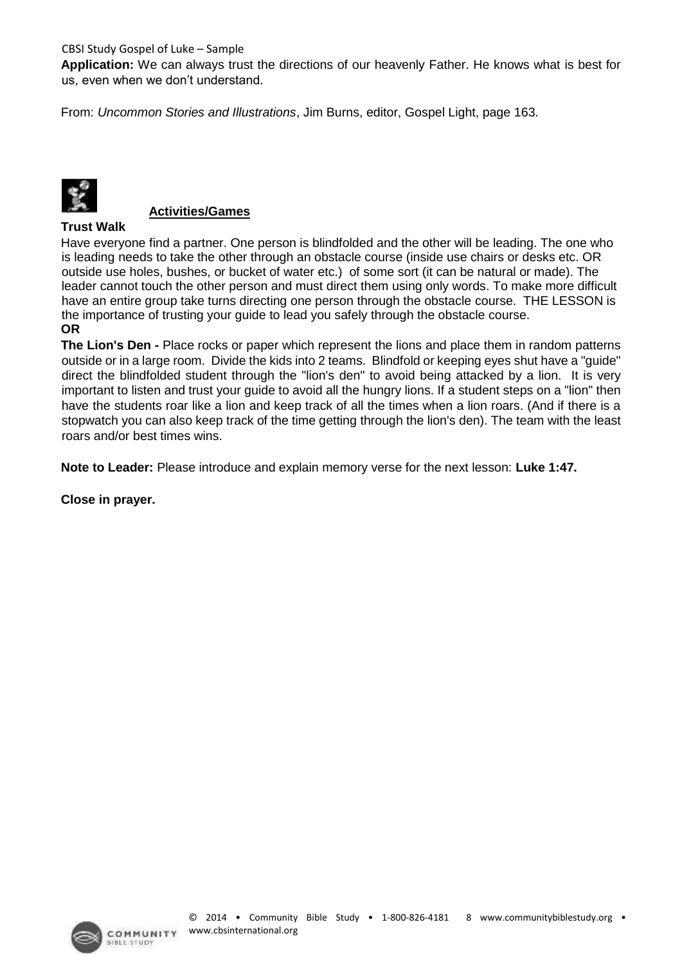CBSI Study Gospel of Luke – Sample

**Application:** We can always trust the directions of our heavenly Father. He knows what is best for us, even when we don't understand.

From: *Uncommon Stories and Illustrations*, Jim Burns, editor, Gospel Light, page 163.



#### **Activities/Games**

#### **Trust Walk**

Have everyone find a partner. One person is blindfolded and the other will be leading. The one who is leading needs to take the other through an obstacle course (inside use chairs or desks etc. OR outside use holes, bushes, or bucket of water etc.) of some sort (it can be natural or made). The leader cannot touch the other person and must direct them using only words. To make more difficult have an entire group take turns directing one person through the obstacle course. THE LESSON is the importance of trusting your guide to lead you safely through the obstacle course. **OR** 

**The Lion's Den -** Place rocks or paper which represent the lions and place them in random patterns outside or in a large room. Divide the kids into 2 teams. Blindfold or keeping eyes shut have a "guide" direct the blindfolded student through the "lion's den" to avoid being attacked by a lion. It is very important to listen and trust your guide to avoid all the hungry lions. If a student steps on a "lion" then have the students roar like a lion and keep track of all the times when a lion roars. (And if there is a stopwatch you can also keep track of the time getting through the lion's den). The team with the least roars and/or best times wins.

**Note to Leader:** Please introduce and explain memory verse for the next lesson: **Luke 1:47.** 

**Close in prayer.** 

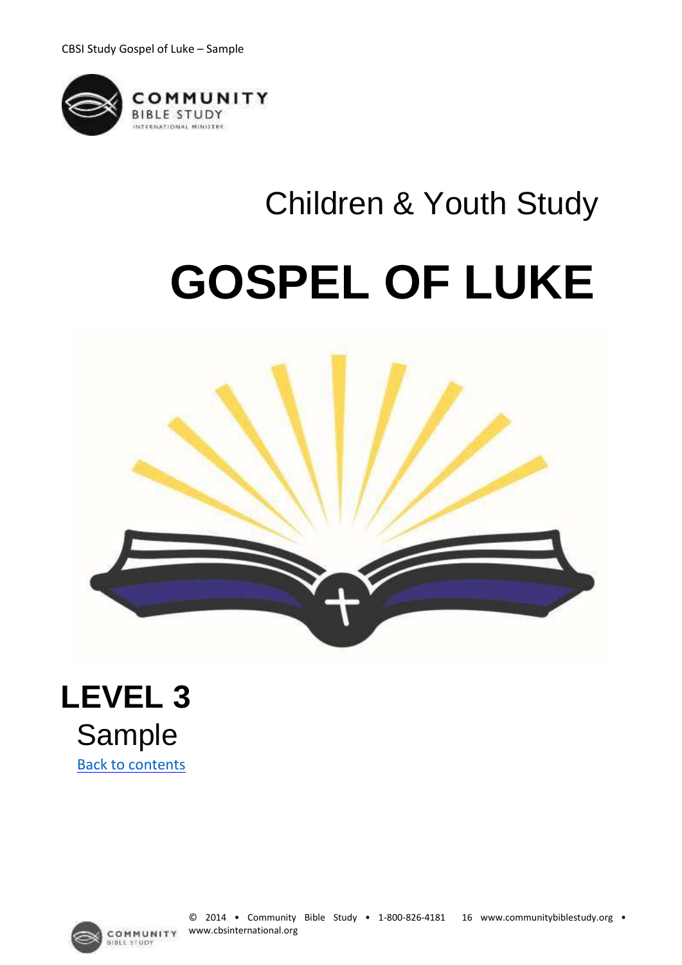

# Children & Youth Study **GOSPEL OF LUKE**







**STUDY**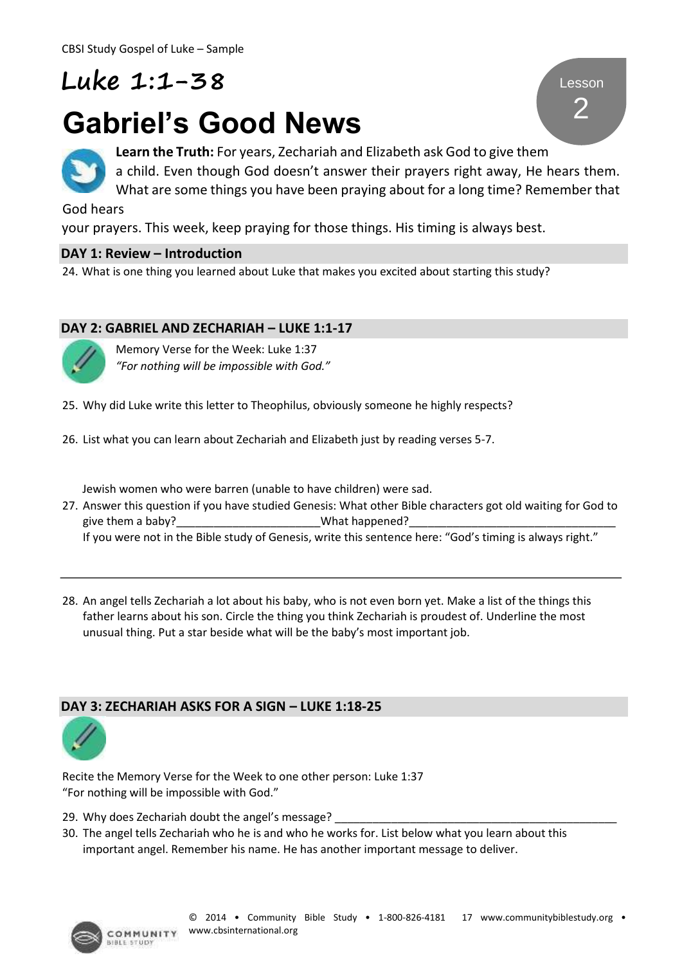### **Luke 1:1-38**

## **Gabriel's Good News**



**Learn the Truth:** For years, Zechariah and Elizabeth ask God to give them a child. Even though God doesn't answer their prayers right away, He hears them. What are some things you have been praying about for a long time? Remember that

God hears

your prayers. This week, keep praying for those things. His timing is always best.

#### **DAY 1: Review – Introduction**

24. What is one thing you learned about Luke that makes you excited about starting this study?

#### **DAY 2: GABRIEL AND ZECHARIAH – LUKE 1:1-17**



Memory Verse for the Week: Luke 1:37 *"For nothing will be impossible with God."*

- 25. Why did Luke write this letter to Theophilus, obviously someone he highly respects?
- 26. List what you can learn about Zechariah and Elizabeth just by reading verses 5-7.

Jewish women who were barren (unable to have children) were sad.

- 27. Answer this question if you have studied Genesis: What other Bible characters got old waiting for God to give them a baby? The same of the same of the same of the same of the same of the same of the same of the same o If you were not in the Bible study of Genesis, write this sentence here: "God's timing is always right."
- 28. An angel tells Zechariah a lot about his baby, who is not even born yet. Make a list of the things this father learns about his son. Circle the thing you think Zechariah is proudest of. Underline the most unusual thing. Put a star beside what will be the baby's most important job.

#### **DAY 3: ZECHARIAH ASKS FOR A SIGN – LUKE 1:18-25**



Recite the Memory Verse for the Week to one other person: Luke 1:37 "For nothing will be impossible with God."

- 29. Why does Zechariah doubt the angel's message?
- 30. The angel tells Zechariah who he is and who he works for. List below what you learn about this important angel. Remember his name. He has another important message to deliver.